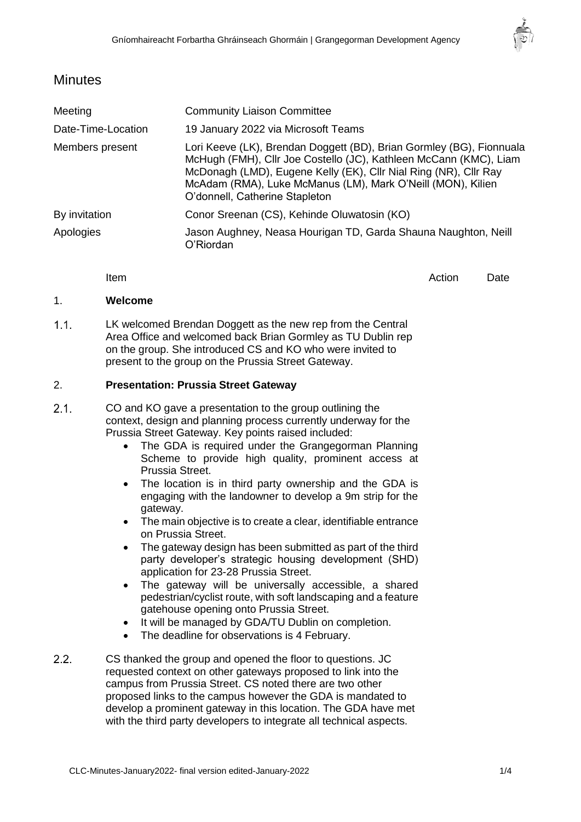

# **Minutes**

| Meeting            | <b>Community Liaison Committee</b>                                                                                                                                                                                                                                                                             |
|--------------------|----------------------------------------------------------------------------------------------------------------------------------------------------------------------------------------------------------------------------------------------------------------------------------------------------------------|
| Date-Time-Location | 19 January 2022 via Microsoft Teams                                                                                                                                                                                                                                                                            |
| Members present    | Lori Keeve (LK), Brendan Doggett (BD), Brian Gormley (BG), Fionnuala<br>McHugh (FMH), Cllr Joe Costello (JC), Kathleen McCann (KMC), Liam<br>McDonagh (LMD), Eugene Kelly (EK), Cllr Nial Ring (NR), Cllr Ray<br>McAdam (RMA), Luke McManus (LM), Mark O'Neill (MON), Kilien<br>O'donnell, Catherine Stapleton |
| By invitation      | Conor Sreenan (CS), Kehinde Oluwatosin (KO)                                                                                                                                                                                                                                                                    |
| Apologies          | Jason Aughney, Neasa Hourigan TD, Garda Shauna Naughton, Neill<br>O'Riordan                                                                                                                                                                                                                                    |

Item and the contract of the contract of the contract of the contract of the contract of the Date

# 1. **Welcome**

 $1.1.$ LK welcomed Brendan Doggett as the new rep from the Central Area Office and welcomed back Brian Gormley as TU Dublin rep on the group. She introduced CS and KO who were invited to present to the group on the Prussia Street Gateway.

#### 2. **Presentation: Prussia Street Gateway**

- $2.1.$ CO and KO gave a presentation to the group outlining the context, design and planning process currently underway for the Prussia Street Gateway. Key points raised included:
	- The GDA is required under the Grangegorman Planning Scheme to provide high quality, prominent access at Prussia Street.
	- The location is in third party ownership and the GDA is engaging with the landowner to develop a 9m strip for the gateway.
	- The main objective is to create a clear, identifiable entrance on Prussia Street.
	- The gateway design has been submitted as part of the third party developer's strategic housing development (SHD) application for 23-28 Prussia Street.
	- The gateway will be universally accessible, a shared pedestrian/cyclist route, with soft landscaping and a feature gatehouse opening onto Prussia Street.
	- It will be managed by GDA/TU Dublin on completion.
	- The deadline for observations is 4 February.
- $2.2.$ CS thanked the group and opened the floor to questions. JC requested context on other gateways proposed to link into the campus from Prussia Street. CS noted there are two other proposed links to the campus however the GDA is mandated to develop a prominent gateway in this location. The GDA have met with the third party developers to integrate all technical aspects.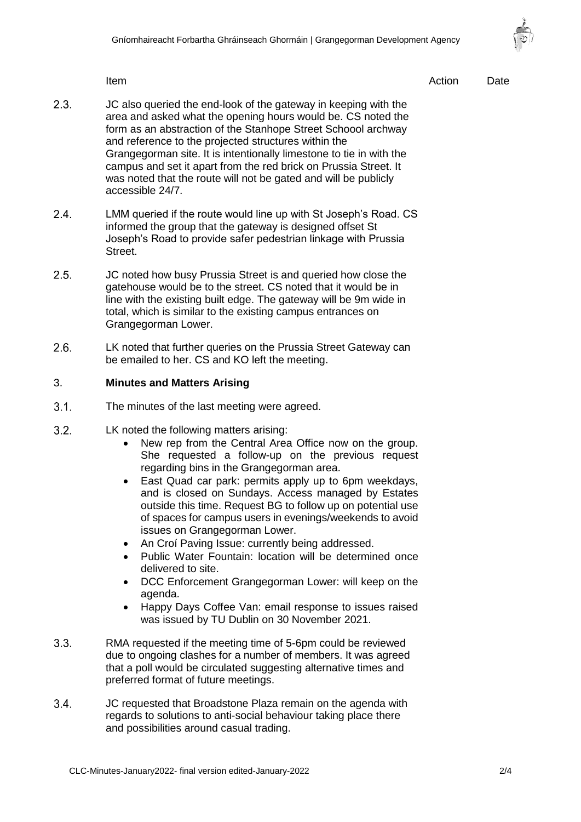

Item and the contract of the contract of the contract of the contract of the contract of the Date

- $2.3.$ JC also queried the end-look of the gateway in keeping with the area and asked what the opening hours would be. CS noted the form as an abstraction of the Stanhope Street Schoool archway and reference to the projected structures within the Grangegorman site. It is intentionally limestone to tie in with the campus and set it apart from the red brick on Prussia Street. It was noted that the route will not be gated and will be publicly accessible 24/7.
- $2.4$ LMM queried if the route would line up with St Joseph's Road. CS informed the group that the gateway is designed offset St Joseph's Road to provide safer pedestrian linkage with Prussia Street.
- $2.5$ JC noted how busy Prussia Street is and queried how close the gatehouse would be to the street. CS noted that it would be in line with the existing built edge. The gateway will be 9m wide in total, which is similar to the existing campus entrances on Grangegorman Lower.
- $2.6.$ LK noted that further queries on the Prussia Street Gateway can be emailed to her. CS and KO left the meeting.

#### 3. **Minutes and Matters Arising**

- $3.1.$ The minutes of the last meeting were agreed.
- $3.2.$ LK noted the following matters arising:
	- New rep from the Central Area Office now on the group. She requested a follow-up on the previous request regarding bins in the Grangegorman area.
	- East Quad car park: permits apply up to 6pm weekdays, and is closed on Sundays. Access managed by Estates outside this time. Request BG to follow up on potential use of spaces for campus users in evenings/weekends to avoid issues on Grangegorman Lower.
	- An Croí Paving Issue: currently being addressed.
	- Public Water Fountain: location will be determined once delivered to site.
	- DCC Enforcement Grangegorman Lower: will keep on the agenda.
	- Happy Days Coffee Van: email response to issues raised was issued by TU Dublin on 30 November 2021.
- $3.3.$ RMA requested if the meeting time of 5-6pm could be reviewed due to ongoing clashes for a number of members. It was agreed that a poll would be circulated suggesting alternative times and preferred format of future meetings.
- $3.4.$ JC requested that Broadstone Plaza remain on the agenda with regards to solutions to anti-social behaviour taking place there and possibilities around casual trading.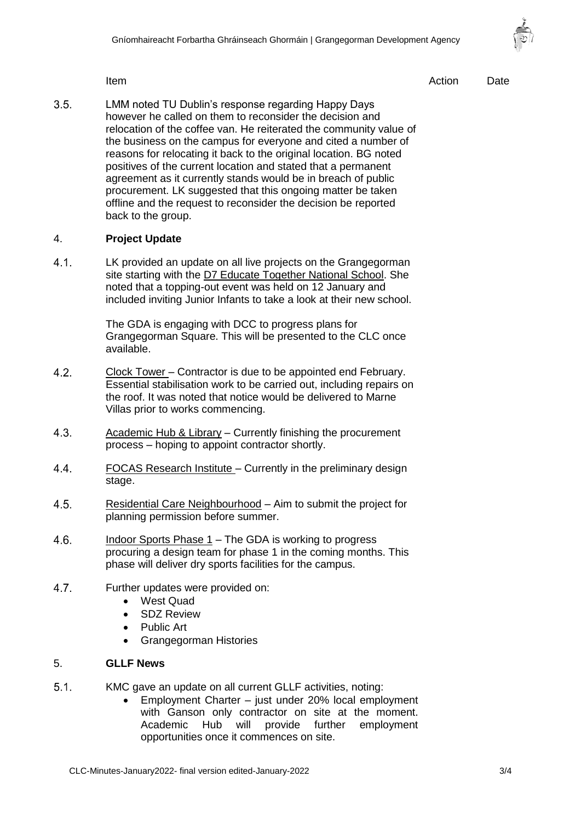

Item and the contract of the contract of the contract of the contract of the contract of the Date

 $3.5$ LMM noted TU Dublin's response regarding Happy Days however he called on them to reconsider the decision and relocation of the coffee van. He reiterated the community value of the business on the campus for everyone and cited a number of reasons for relocating it back to the original location. BG noted positives of the current location and stated that a permanent agreement as it currently stands would be in breach of public procurement. LK suggested that this ongoing matter be taken offline and the request to reconsider the decision be reported back to the group.

## 4. **Project Update**

 $4.1.$ LK provided an update on all live projects on the Grangegorman site starting with the D7 Educate Together National School. She noted that a topping-out event was held on 12 January and included inviting Junior Infants to take a look at their new school.

> The GDA is engaging with DCC to progress plans for Grangegorman Square. This will be presented to the CLC once available.

- $4.2<sub>1</sub>$ Clock Tower – Contractor is due to be appointed end February. Essential stabilisation work to be carried out, including repairs on the roof. It was noted that notice would be delivered to Marne Villas prior to works commencing.
- $4.3.$ Academic Hub & Library – Currently finishing the procurement process – hoping to appoint contractor shortly.
- FOCAS Research Institute Currently in the preliminary design  $4.4.$ stage.
- $4.5.$ Residential Care Neighbourhood – Aim to submit the project for planning permission before summer.
- $4.6.$ Indoor Sports Phase 1 – The GDA is working to progress procuring a design team for phase 1 in the coming months. This phase will deliver dry sports facilities for the campus.
- 4.7. Further updates were provided on:
	- West Quad
	- SDZ Review
	- Public Art
	- Grangegorman Histories

# 5. **GLLF News**

- $5.1.$ KMC gave an update on all current GLLF activities, noting:
	- Employment Charter just under 20% local employment with Ganson only contractor on site at the moment. Academic Hub will provide further employment opportunities once it commences on site.